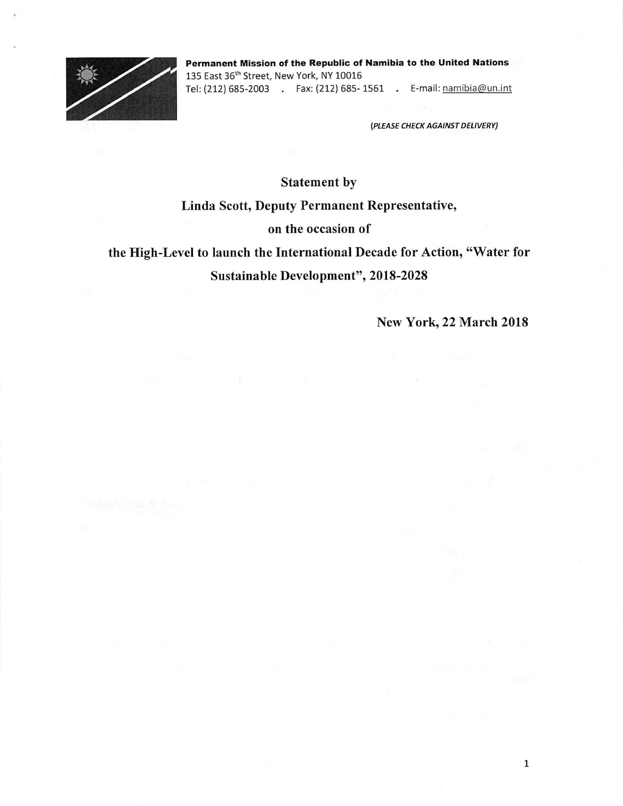

Permanent Mission of the Republic of Namibia to the United Nations 135 East 36<sup>th</sup> Street, New York, NY 10016 Tel: (212) 685-2003 . Fax:(212) 685- 1561 . E-mail: namibia@un.int

{PLEASE CHECK AGAINST DELIVERY)

Statement by

## Linda Scott, Deputy Permanent Representative,

#### on the occasion of

# the High-Level to launch the International Decade for Action, "Water for Sustainable Development", 2018-2028

New York, 22 March 2018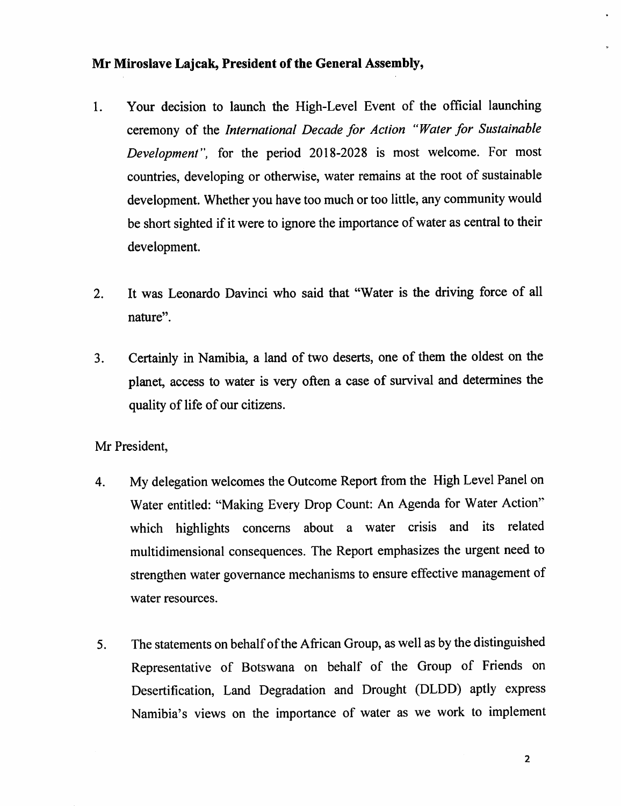#### Mr Miroslave Lajcak, President of the General Assembly,

- 1. Your decision to launch the High-Level Event of the official launching ceremony of the International Decade for Action "Water for Sustainable Development", for the period 2018-2028 is most welcome. For most countries, developing or otherwise, water remains at the root of sustainable development. Whether you have too much or too little, any community would be short sighted if it were to ignore the importance of water as central to their development.
- 2. It was Leonardo Davinci who said that "Water is the driving force of all nature".
- 3. Certainly in Namibia, a land of two deserts, one of them the oldest on the planet, access to water is very often a case of survival and determines the quality of life of our citizens.

Mr President,

- 4. My delegation welcomes the Outcome Report from the High Level Panel on Water entitled: "Making Every Drop Count: An Agenda for Water Action" which highlights concerns about a water crisis and its related multidimensional consequences. The Report emphasizes the urgent need to strengthen water governance mechanisms to ensure effective management of water resources.
- 5. The statements on behalf of the African Group, as well as by the distinguished Representative of Botswana on behalf of the Group of Friends on Desertification, Land Degradation and Drought (DLDD) aptly express Namibia's views on the importance of water as we work to implement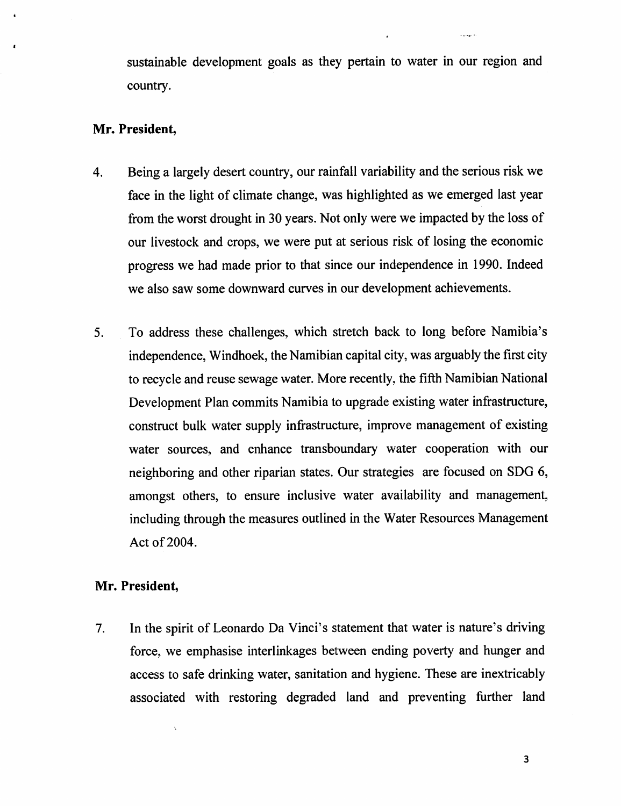sustainable development goals as they pertain to water in our region and country.

#### Mr. President,

- 4. Beinga largely desert country, our rainfall variability and the serious risk we face in the light of climate change, was highlighted as we emerged last year from the worst drought in 30 years. Not only were we impacted by the loss of our livestock and crops, we were put at serious risk of losing the economic progress we had made prior to that since our independence in 1990. Indeed we also saw some downward curves in our development achievements.
- 5. To address these challenges, which stretch back to long before Namibia's independence, Windhoek, the Namibian capital city, was arguably the first city to recycle and reuse sewage water. More recently, the fifth Namibian National Development Plan commits Namibia to upgrade existing water infrastructure, construct bulk water supply infrastructure, improve management of existing water sources, and enhance transboundary water cooperation with our neighboring and other riparian states. Our strategies are focused on SDG 6, amongst others, to ensure inclusive water availability and management, including through the measures outlined in the Water Resources Management Act of 2004.

## Mr, President,

 $\bar{\mathbf{r}}$ 

7. In the spirit of Leonardo Da Vinci's statement that water is nature's driving force, we emphasise interlinkages between ending poverty and hunger and access to safe drinking water, sanitation and hygiene. These are inextricably associated with restoring degraded land and preventing further land